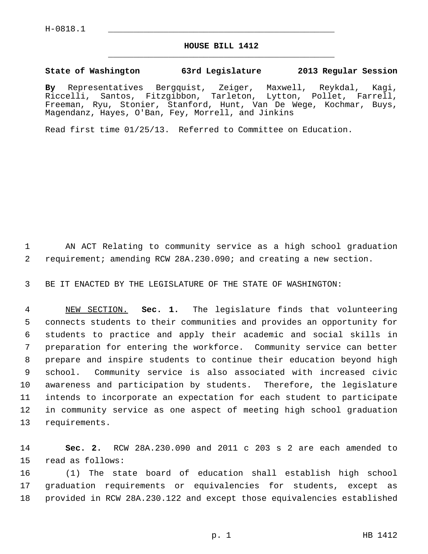## **HOUSE BILL 1412** \_\_\_\_\_\_\_\_\_\_\_\_\_\_\_\_\_\_\_\_\_\_\_\_\_\_\_\_\_\_\_\_\_\_\_\_\_\_\_\_\_\_\_\_\_

## **State of Washington 63rd Legislature 2013 Regular Session**

**By** Representatives Bergquist, Zeiger, Maxwell, Reykdal, Kagi, Riccelli, Santos, Fitzgibbon, Tarleton, Lytton, Pollet, Farrell, Freeman, Ryu, Stonier, Stanford, Hunt, Van De Wege, Kochmar, Buys, Magendanz, Hayes, O'Ban, Fey, Morrell, and Jinkins

Read first time 01/25/13. Referred to Committee on Education.

 1 AN ACT Relating to community service as a high school graduation 2 requirement; amending RCW 28A.230.090; and creating a new section.

3 BE IT ENACTED BY THE LEGISLATURE OF THE STATE OF WASHINGTON:

 4 NEW SECTION. **Sec. 1.** The legislature finds that volunteering 5 connects students to their communities and provides an opportunity for 6 students to practice and apply their academic and social skills in 7 preparation for entering the workforce. Community service can better 8 prepare and inspire students to continue their education beyond high 9 school. Community service is also associated with increased civic 10 awareness and participation by students. Therefore, the legislature 11 intends to incorporate an expectation for each student to participate 12 in community service as one aspect of meeting high school graduation 13 requirements.

14 **Sec. 2.** RCW 28A.230.090 and 2011 c 203 s 2 are each amended to 15 read as follows:

16 (1) The state board of education shall establish high school 17 graduation requirements or equivalencies for students, except as 18 provided in RCW 28A.230.122 and except those equivalencies established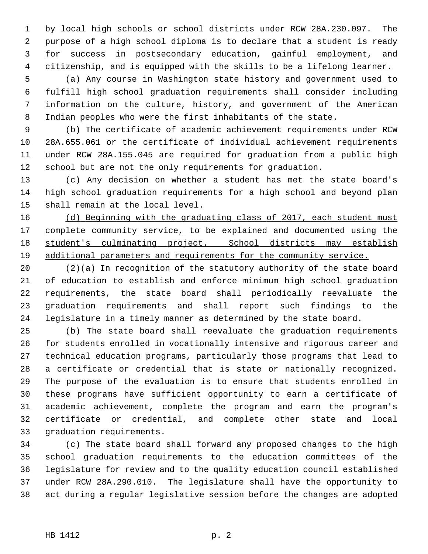1 by local high schools or school districts under RCW 28A.230.097. The 2 purpose of a high school diploma is to declare that a student is ready 3 for success in postsecondary education, gainful employment, and 4 citizenship, and is equipped with the skills to be a lifelong learner.

 5 (a) Any course in Washington state history and government used to 6 fulfill high school graduation requirements shall consider including 7 information on the culture, history, and government of the American 8 Indian peoples who were the first inhabitants of the state.

 9 (b) The certificate of academic achievement requirements under RCW 10 28A.655.061 or the certificate of individual achievement requirements 11 under RCW 28A.155.045 are required for graduation from a public high 12 school but are not the only requirements for graduation.

13 (c) Any decision on whether a student has met the state board's 14 high school graduation requirements for a high school and beyond plan 15 shall remain at the local level.

 (d) Beginning with the graduating class of 2017, each student must complete community service, to be explained and documented using the student's culminating project. School districts may establish additional parameters and requirements for the community service.

20 (2)(a) In recognition of the statutory authority of the state board 21 of education to establish and enforce minimum high school graduation 22 requirements, the state board shall periodically reevaluate the 23 graduation requirements and shall report such findings to the 24 legislature in a timely manner as determined by the state board.

25 (b) The state board shall reevaluate the graduation requirements 26 for students enrolled in vocationally intensive and rigorous career and 27 technical education programs, particularly those programs that lead to 28 a certificate or credential that is state or nationally recognized. 29 The purpose of the evaluation is to ensure that students enrolled in 30 these programs have sufficient opportunity to earn a certificate of 31 academic achievement, complete the program and earn the program's 32 certificate or credential, and complete other state and local 33 graduation requirements.

34 (c) The state board shall forward any proposed changes to the high 35 school graduation requirements to the education committees of the 36 legislature for review and to the quality education council established 37 under RCW 28A.290.010. The legislature shall have the opportunity to 38 act during a regular legislative session before the changes are adopted